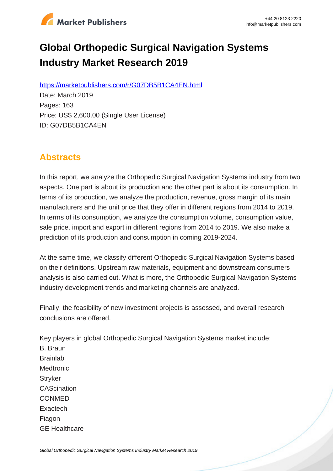

# **Global Orthopedic Surgical Navigation Systems Industry Market Research 2019**

https://marketpublishers.com/r/G07DB5B1CA4EN.html

Date: March 2019 Pages: 163 Price: US\$ 2,600.00 (Single User License) ID: G07DB5B1CA4EN

# **Abstracts**

In this report, we analyze the Orthopedic Surgical Navigation Systems industry from two aspects. One part is about its production and the other part is about its consumption. In terms of its production, we analyze the production, revenue, gross margin of its main manufacturers and the unit price that they offer in different regions from 2014 to 2019. In terms of its consumption, we analyze the consumption volume, consumption value, sale price, import and export in different regions from 2014 to 2019. We also make a prediction of its production and consumption in coming 2019-2024.

At the same time, we classify different Orthopedic Surgical Navigation Systems based on their definitions. Upstream raw materials, equipment and downstream consumers analysis is also carried out. What is more, the Orthopedic Surgical Navigation Systems industry development trends and marketing channels are analyzed.

Finally, the feasibility of new investment projects is assessed, and overall research conclusions are offered.

Key players in global Orthopedic Surgical Navigation Systems market include: B. Braun Brainlab **Medtronic Stryker CAScination** CONMED **Exactech** Fiagon GE Healthcare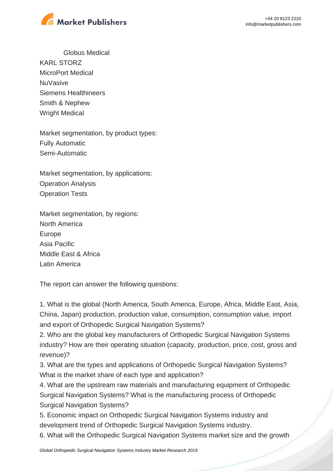

Globus Medical KARL STORZ MicroPort Medical **NuVasive** Siemens Healthineers Smith & Nephew Wright Medical

Market segmentation, by product types: Fully Automatic Semi-Automatic

Market segmentation, by applications: Operation Analysis Operation Tests

Market segmentation, by regions: North America Europe Asia Pacific Middle East & Africa Latin America

The report can answer the following questions:

1. What is the global (North America, South America, Europe, Africa, Middle East, Asia, China, Japan) production, production value, consumption, consumption value, import and export of Orthopedic Surgical Navigation Systems?

2. Who are the global key manufacturers of Orthopedic Surgical Navigation Systems industry? How are their operating situation (capacity, production, price, cost, gross and revenue)?

3. What are the types and applications of Orthopedic Surgical Navigation Systems? What is the market share of each type and application?

4. What are the upstream raw materials and manufacturing equipment of Orthopedic Surgical Navigation Systems? What is the manufacturing process of Orthopedic Surgical Navigation Systems?

5. Economic impact on Orthopedic Surgical Navigation Systems industry and development trend of Orthopedic Surgical Navigation Systems industry.

6. What will the Orthopedic Surgical Navigation Systems market size and the growth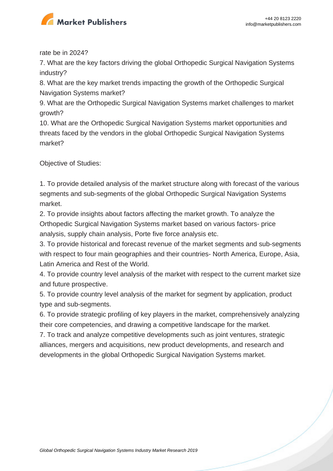

rate be in 2024?

7. What are the key factors driving the global Orthopedic Surgical Navigation Systems industry?

8. What are the key market trends impacting the growth of the Orthopedic Surgical Navigation Systems market?

9. What are the Orthopedic Surgical Navigation Systems market challenges to market growth?

10. What are the Orthopedic Surgical Navigation Systems market opportunities and threats faced by the vendors in the global Orthopedic Surgical Navigation Systems market?

Objective of Studies:

1. To provide detailed analysis of the market structure along with forecast of the various segments and sub-segments of the global Orthopedic Surgical Navigation Systems market.

2. To provide insights about factors affecting the market growth. To analyze the Orthopedic Surgical Navigation Systems market based on various factors- price analysis, supply chain analysis, Porte five force analysis etc.

3. To provide historical and forecast revenue of the market segments and sub-segments with respect to four main geographies and their countries- North America, Europe, Asia, Latin America and Rest of the World.

4. To provide country level analysis of the market with respect to the current market size and future prospective.

5. To provide country level analysis of the market for segment by application, product type and sub-segments.

6. To provide strategic profiling of key players in the market, comprehensively analyzing their core competencies, and drawing a competitive landscape for the market.

7. To track and analyze competitive developments such as joint ventures, strategic alliances, mergers and acquisitions, new product developments, and research and developments in the global Orthopedic Surgical Navigation Systems market.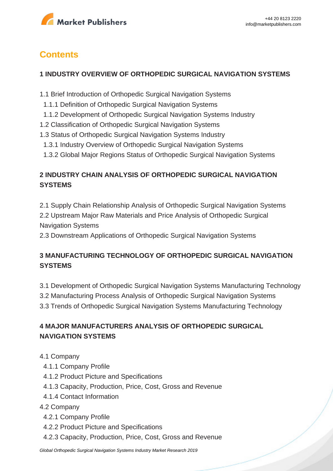

# **Contents**

#### **1 INDUSTRY OVERVIEW OF ORTHOPEDIC SURGICAL NAVIGATION SYSTEMS**

- 1.1 Brief Introduction of Orthopedic Surgical Navigation Systems
- 1.1.1 Definition of Orthopedic Surgical Navigation Systems
- 1.1.2 Development of Orthopedic Surgical Navigation Systems Industry
- 1.2 Classification of Orthopedic Surgical Navigation Systems
- 1.3 Status of Orthopedic Surgical Navigation Systems Industry
- 1.3.1 Industry Overview of Orthopedic Surgical Navigation Systems
- 1.3.2 Global Major Regions Status of Orthopedic Surgical Navigation Systems

### **2 INDUSTRY CHAIN ANALYSIS OF ORTHOPEDIC SURGICAL NAVIGATION SYSTEMS**

2.1 Supply Chain Relationship Analysis of Orthopedic Surgical Navigation Systems

2.2 Upstream Major Raw Materials and Price Analysis of Orthopedic Surgical Navigation Systems

2.3 Downstream Applications of Orthopedic Surgical Navigation Systems

#### **3 MANUFACTURING TECHNOLOGY OF ORTHOPEDIC SURGICAL NAVIGATION SYSTEMS**

3.1 Development of Orthopedic Surgical Navigation Systems Manufacturing Technology

- 3.2 Manufacturing Process Analysis of Orthopedic Surgical Navigation Systems
- 3.3 Trends of Orthopedic Surgical Navigation Systems Manufacturing Technology

### **4 MAJOR MANUFACTURERS ANALYSIS OF ORTHOPEDIC SURGICAL NAVIGATION SYSTEMS**

- 4.1 Company
	- 4.1.1 Company Profile
	- 4.1.2 Product Picture and Specifications
	- 4.1.3 Capacity, Production, Price, Cost, Gross and Revenue
	- 4.1.4 Contact Information

#### 4.2 Company

- 4.2.1 Company Profile
- 4.2.2 Product Picture and Specifications
- 4.2.3 Capacity, Production, Price, Cost, Gross and Revenue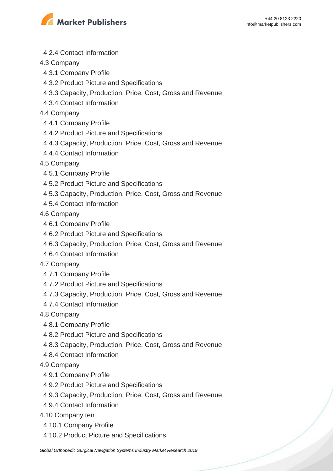

- 4.2.4 Contact Information
- 4.3 Company
- 4.3.1 Company Profile
- 4.3.2 Product Picture and Specifications
- 4.3.3 Capacity, Production, Price, Cost, Gross and Revenue
- 4.3.4 Contact Information
- 4.4 Company
- 4.4.1 Company Profile
- 4.4.2 Product Picture and Specifications
- 4.4.3 Capacity, Production, Price, Cost, Gross and Revenue
- 4.4.4 Contact Information
- 4.5 Company
- 4.5.1 Company Profile
- 4.5.2 Product Picture and Specifications
- 4.5.3 Capacity, Production, Price, Cost, Gross and Revenue
- 4.5.4 Contact Information
- 4.6 Company
- 4.6.1 Company Profile
- 4.6.2 Product Picture and Specifications
- 4.6.3 Capacity, Production, Price, Cost, Gross and Revenue
- 4.6.4 Contact Information
- 4.7 Company
	- 4.7.1 Company Profile
	- 4.7.2 Product Picture and Specifications
	- 4.7.3 Capacity, Production, Price, Cost, Gross and Revenue
- 4.7.4 Contact Information
- 4.8 Company
- 4.8.1 Company Profile
- 4.8.2 Product Picture and Specifications
- 4.8.3 Capacity, Production, Price, Cost, Gross and Revenue
- 4.8.4 Contact Information
- 4.9 Company
	- 4.9.1 Company Profile
	- 4.9.2 Product Picture and Specifications
	- 4.9.3 Capacity, Production, Price, Cost, Gross and Revenue
	- 4.9.4 Contact Information
- 4.10 Company ten
	- 4.10.1 Company Profile
	- 4.10.2 Product Picture and Specifications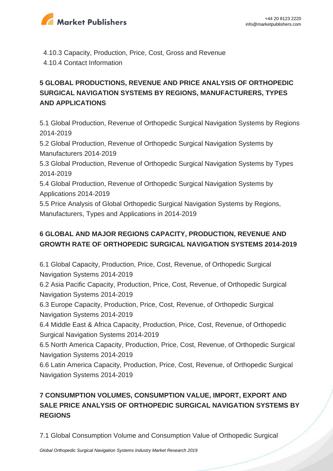

 4.10.3 Capacity, Production, Price, Cost, Gross and Revenue 4.10.4 Contact Information

## **5 GLOBAL PRODUCTIONS, REVENUE AND PRICE ANALYSIS OF ORTHOPEDIC SURGICAL NAVIGATION SYSTEMS BY REGIONS, MANUFACTURERS, TYPES AND APPLICATIONS**

5.1 Global Production, Revenue of Orthopedic Surgical Navigation Systems by Regions 2014-2019

5.2 Global Production, Revenue of Orthopedic Surgical Navigation Systems by Manufacturers 2014-2019

5.3 Global Production, Revenue of Orthopedic Surgical Navigation Systems by Types 2014-2019

5.4 Global Production, Revenue of Orthopedic Surgical Navigation Systems by Applications 2014-2019

5.5 Price Analysis of Global Orthopedic Surgical Navigation Systems by Regions, Manufacturers, Types and Applications in 2014-2019

#### **6 GLOBAL AND MAJOR REGIONS CAPACITY, PRODUCTION, REVENUE AND GROWTH RATE OF ORTHOPEDIC SURGICAL NAVIGATION SYSTEMS 2014-2019**

6.1 Global Capacity, Production, Price, Cost, Revenue, of Orthopedic Surgical Navigation Systems 2014-2019

6.2 Asia Pacific Capacity, Production, Price, Cost, Revenue, of Orthopedic Surgical Navigation Systems 2014-2019

6.3 Europe Capacity, Production, Price, Cost, Revenue, of Orthopedic Surgical Navigation Systems 2014-2019

6.4 Middle East & Africa Capacity, Production, Price, Cost, Revenue, of Orthopedic Surgical Navigation Systems 2014-2019

6.5 North America Capacity, Production, Price, Cost, Revenue, of Orthopedic Surgical Navigation Systems 2014-2019

6.6 Latin America Capacity, Production, Price, Cost, Revenue, of Orthopedic Surgical Navigation Systems 2014-2019

# **7 CONSUMPTION VOLUMES, CONSUMPTION VALUE, IMPORT, EXPORT AND SALE PRICE ANALYSIS OF ORTHOPEDIC SURGICAL NAVIGATION SYSTEMS BY REGIONS**

7.1 Global Consumption Volume and Consumption Value of Orthopedic Surgical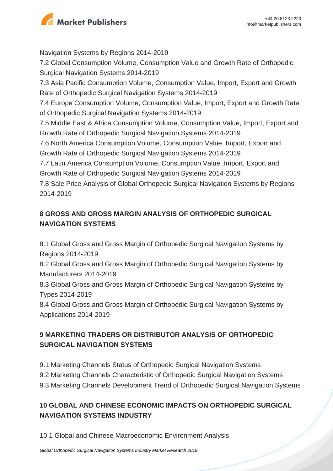

Navigation Systems by Regions 2014-2019 7.2 Global Consumption Volume, Consumption Value and Growth Rate of Orthopedic Surgical Navigation Systems 2014-2019 7.3 Asia Pacific Consumption Volume, Consumption Value, Import, Export and Growth Rate of Orthopedic Surgical Navigation Systems 2014-2019 7.4 Europe Consumption Volume, Consumption Value, Import, Export and Growth Rate of Orthopedic Surgical Navigation Systems 2014-2019 7.5 Middle East & Africa Consumption Volume, Consumption Value, Import, Export and Growth Rate of Orthopedic Surgical Navigation Systems 2014-2019 7.6 North America Consumption Volume, Consumption Value, Import, Export and Growth Rate of Orthopedic Surgical Navigation Systems 2014-2019 7.7 Latin America Consumption Volume, Consumption Value, Import, Export and Growth Rate of Orthopedic Surgical Navigation Systems 2014-2019 7.8 Sale Price Analysis of Global Orthopedic Surgical Navigation Systems by Regions 2014-2019

## **8 GROSS AND GROSS MARGIN ANALYSIS OF ORTHOPEDIC SURGICAL NAVIGATION SYSTEMS**

8.1 Global Gross and Gross Margin of Orthopedic Surgical Navigation Systems by Regions 2014-2019

8.2 Global Gross and Gross Margin of Orthopedic Surgical Navigation Systems by Manufacturers 2014-2019

8.3 Global Gross and Gross Margin of Orthopedic Surgical Navigation Systems by Types 2014-2019

8.4 Global Gross and Gross Margin of Orthopedic Surgical Navigation Systems by Applications 2014-2019

# **9 MARKETING TRADERS OR DISTRIBUTOR ANALYSIS OF ORTHOPEDIC SURGICAL NAVIGATION SYSTEMS**

- 9.1 Marketing Channels Status of Orthopedic Surgical Navigation Systems
- 9.2 Marketing Channels Characteristic of Orthopedic Surgical Navigation Systems
- 9.3 Marketing Channels Development Trend of Orthopedic Surgical Navigation Systems

### **10 GLOBAL AND CHINESE ECONOMIC IMPACTS ON ORTHOPEDIC SURGICAL NAVIGATION SYSTEMS INDUSTRY**

10.1 Global and Chinese Macroeconomic Environment Analysis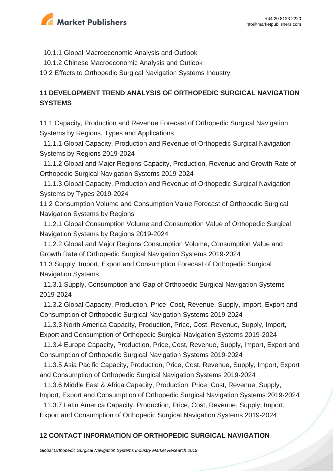

- 10.1.1 Global Macroeconomic Analysis and Outlook
- 10.1.2 Chinese Macroeconomic Analysis and Outlook
- 10.2 Effects to Orthopedic Surgical Navigation Systems Industry

#### **11 DEVELOPMENT TREND ANALYSIS OF ORTHOPEDIC SURGICAL NAVIGATION SYSTEMS**

11.1 Capacity, Production and Revenue Forecast of Orthopedic Surgical Navigation Systems by Regions, Types and Applications

 11.1.1 Global Capacity, Production and Revenue of Orthopedic Surgical Navigation Systems by Regions 2019-2024

 11.1.2 Global and Major Regions Capacity, Production, Revenue and Growth Rate of Orthopedic Surgical Navigation Systems 2019-2024

 11.1.3 Global Capacity, Production and Revenue of Orthopedic Surgical Navigation Systems by Types 2019-2024

11.2 Consumption Volume and Consumption Value Forecast of Orthopedic Surgical Navigation Systems by Regions

 11.2.1 Global Consumption Volume and Consumption Value of Orthopedic Surgical Navigation Systems by Regions 2019-2024

 11.2.2 Global and Major Regions Consumption Volume, Consumption Value and Growth Rate of Orthopedic Surgical Navigation Systems 2019-2024

11.3 Supply, Import, Export and Consumption Forecast of Orthopedic Surgical Navigation Systems

 11.3.1 Supply, Consumption and Gap of Orthopedic Surgical Navigation Systems 2019-2024

 11.3.2 Global Capacity, Production, Price, Cost, Revenue, Supply, Import, Export and Consumption of Orthopedic Surgical Navigation Systems 2019-2024

 11.3.3 North America Capacity, Production, Price, Cost, Revenue, Supply, Import, Export and Consumption of Orthopedic Surgical Navigation Systems 2019-2024

 11.3.4 Europe Capacity, Production, Price, Cost, Revenue, Supply, Import, Export and Consumption of Orthopedic Surgical Navigation Systems 2019-2024

 11.3.5 Asia Pacific Capacity, Production, Price, Cost, Revenue, Supply, Import, Export and Consumption of Orthopedic Surgical Navigation Systems 2019-2024

 11.3.6 Middle East & Africa Capacity, Production, Price, Cost, Revenue, Supply, Import, Export and Consumption of Orthopedic Surgical Navigation Systems 2019-2024

 11.3.7 Latin America Capacity, Production, Price, Cost, Revenue, Supply, Import, Export and Consumption of Orthopedic Surgical Navigation Systems 2019-2024

#### **12 CONTACT INFORMATION OF ORTHOPEDIC SURGICAL NAVIGATION**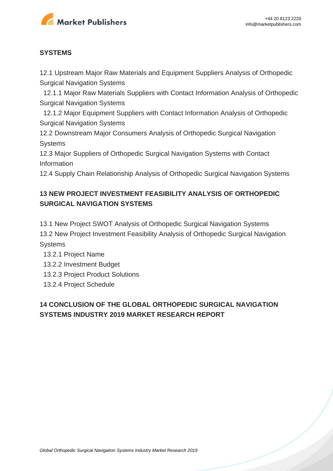

#### **SYSTEMS**

12.1 Upstream Major Raw Materials and Equipment Suppliers Analysis of Orthopedic Surgical Navigation Systems

 12.1.1 Major Raw Materials Suppliers with Contact Information Analysis of Orthopedic Surgical Navigation Systems

 12.1.2 Major Equipment Suppliers with Contact Information Analysis of Orthopedic Surgical Navigation Systems

12.2 Downstream Major Consumers Analysis of Orthopedic Surgical Navigation **Systems** 

12.3 Major Suppliers of Orthopedic Surgical Navigation Systems with Contact Information

12.4 Supply Chain Relationship Analysis of Orthopedic Surgical Navigation Systems

#### **13 NEW PROJECT INVESTMENT FEASIBILITY ANALYSIS OF ORTHOPEDIC SURGICAL NAVIGATION SYSTEMS**

13.1 New Project SWOT Analysis of Orthopedic Surgical Navigation Systems

13.2 New Project Investment Feasibility Analysis of Orthopedic Surgical Navigation **Systems** 

- 13.2.1 Project Name
- 13.2.2 Investment Budget
- 13.2.3 Project Product Solutions
- 13.2.4 Project Schedule

#### **14 CONCLUSION OF THE GLOBAL ORTHOPEDIC SURGICAL NAVIGATION SYSTEMS INDUSTRY 2019 MARKET RESEARCH REPORT**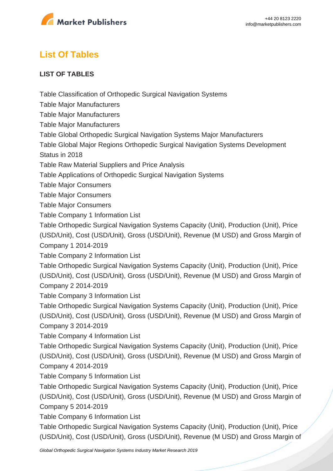

# **List Of Tables**

#### **LIST OF TABLES**

Table Classification of Orthopedic Surgical Navigation Systems

Table Major Manufacturers

Table Major Manufacturers

Table Major Manufacturers

Table Global Orthopedic Surgical Navigation Systems Major Manufacturers

Table Global Major Regions Orthopedic Surgical Navigation Systems Development

Status in 2018

Table Raw Material Suppliers and Price Analysis

Table Applications of Orthopedic Surgical Navigation Systems

Table Major Consumers

Table Major Consumers

Table Major Consumers

Table Company 1 Information List

Table Orthopedic Surgical Navigation Systems Capacity (Unit), Production (Unit), Price

(USD/Unit), Cost (USD/Unit), Gross (USD/Unit), Revenue (M USD) and Gross Margin of Company 1 2014-2019

Table Company 2 Information List

Table Orthopedic Surgical Navigation Systems Capacity (Unit), Production (Unit), Price (USD/Unit), Cost (USD/Unit), Gross (USD/Unit), Revenue (M USD) and Gross Margin of Company 2 2014-2019

Table Company 3 Information List

Table Orthopedic Surgical Navigation Systems Capacity (Unit), Production (Unit), Price (USD/Unit), Cost (USD/Unit), Gross (USD/Unit), Revenue (M USD) and Gross Margin of Company 3 2014-2019

Table Company 4 Information List

Table Orthopedic Surgical Navigation Systems Capacity (Unit), Production (Unit), Price (USD/Unit), Cost (USD/Unit), Gross (USD/Unit), Revenue (M USD) and Gross Margin of Company 4 2014-2019

Table Company 5 Information List

Table Orthopedic Surgical Navigation Systems Capacity (Unit), Production (Unit), Price (USD/Unit), Cost (USD/Unit), Gross (USD/Unit), Revenue (M USD) and Gross Margin of Company 5 2014-2019

Table Company 6 Information List

Table Orthopedic Surgical Navigation Systems Capacity (Unit), Production (Unit), Price (USD/Unit), Cost (USD/Unit), Gross (USD/Unit), Revenue (M USD) and Gross Margin of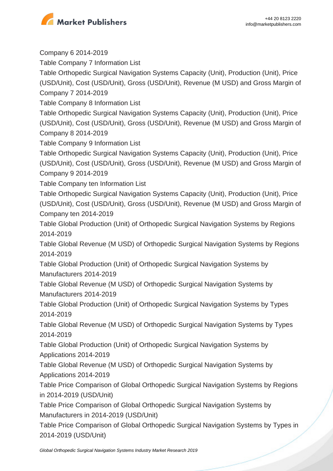

Company 6 2014-2019

Table Company 7 Information List

Table Orthopedic Surgical Navigation Systems Capacity (Unit), Production (Unit), Price (USD/Unit), Cost (USD/Unit), Gross (USD/Unit), Revenue (M USD) and Gross Margin of Company 7 2014-2019

Table Company 8 Information List

Table Orthopedic Surgical Navigation Systems Capacity (Unit), Production (Unit), Price (USD/Unit), Cost (USD/Unit), Gross (USD/Unit), Revenue (M USD) and Gross Margin of Company 8 2014-2019

Table Company 9 Information List

Table Orthopedic Surgical Navigation Systems Capacity (Unit), Production (Unit), Price (USD/Unit), Cost (USD/Unit), Gross (USD/Unit), Revenue (M USD) and Gross Margin of Company 9 2014-2019

Table Company ten Information List

Table Orthopedic Surgical Navigation Systems Capacity (Unit), Production (Unit), Price (USD/Unit), Cost (USD/Unit), Gross (USD/Unit), Revenue (M USD) and Gross Margin of Company ten 2014-2019

Table Global Production (Unit) of Orthopedic Surgical Navigation Systems by Regions 2014-2019

Table Global Revenue (M USD) of Orthopedic Surgical Navigation Systems by Regions 2014-2019

Table Global Production (Unit) of Orthopedic Surgical Navigation Systems by Manufacturers 2014-2019

Table Global Revenue (M USD) of Orthopedic Surgical Navigation Systems by Manufacturers 2014-2019

Table Global Production (Unit) of Orthopedic Surgical Navigation Systems by Types 2014-2019

Table Global Revenue (M USD) of Orthopedic Surgical Navigation Systems by Types 2014-2019

Table Global Production (Unit) of Orthopedic Surgical Navigation Systems by Applications 2014-2019

Table Global Revenue (M USD) of Orthopedic Surgical Navigation Systems by Applications 2014-2019

Table Price Comparison of Global Orthopedic Surgical Navigation Systems by Regions in 2014-2019 (USD/Unit)

Table Price Comparison of Global Orthopedic Surgical Navigation Systems by Manufacturers in 2014-2019 (USD/Unit)

Table Price Comparison of Global Orthopedic Surgical Navigation Systems by Types in 2014-2019 (USD/Unit)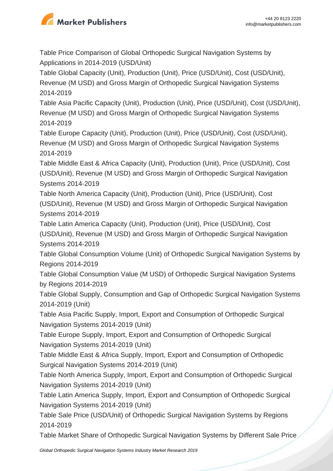

Table Price Comparison of Global Orthopedic Surgical Navigation Systems by Applications in 2014-2019 (USD/Unit)

Table Global Capacity (Unit), Production (Unit), Price (USD/Unit), Cost (USD/Unit), Revenue (M USD) and Gross Margin of Orthopedic Surgical Navigation Systems 2014-2019

Table Asia Pacific Capacity (Unit), Production (Unit), Price (USD/Unit), Cost (USD/Unit), Revenue (M USD) and Gross Margin of Orthopedic Surgical Navigation Systems 2014-2019

Table Europe Capacity (Unit), Production (Unit), Price (USD/Unit), Cost (USD/Unit), Revenue (M USD) and Gross Margin of Orthopedic Surgical Navigation Systems 2014-2019

Table Middle East & Africa Capacity (Unit), Production (Unit), Price (USD/Unit), Cost (USD/Unit), Revenue (M USD) and Gross Margin of Orthopedic Surgical Navigation Systems 2014-2019

Table North America Capacity (Unit), Production (Unit), Price (USD/Unit), Cost (USD/Unit), Revenue (M USD) and Gross Margin of Orthopedic Surgical Navigation Systems 2014-2019

Table Latin America Capacity (Unit), Production (Unit), Price (USD/Unit), Cost (USD/Unit), Revenue (M USD) and Gross Margin of Orthopedic Surgical Navigation Systems 2014-2019

Table Global Consumption Volume (Unit) of Orthopedic Surgical Navigation Systems by Regions 2014-2019

Table Global Consumption Value (M USD) of Orthopedic Surgical Navigation Systems by Regions 2014-2019

Table Global Supply, Consumption and Gap of Orthopedic Surgical Navigation Systems 2014-2019 (Unit)

Table Asia Pacific Supply, Import, Export and Consumption of Orthopedic Surgical Navigation Systems 2014-2019 (Unit)

Table Europe Supply, Import, Export and Consumption of Orthopedic Surgical Navigation Systems 2014-2019 (Unit)

Table Middle East & Africa Supply, Import, Export and Consumption of Orthopedic Surgical Navigation Systems 2014-2019 (Unit)

Table North America Supply, Import, Export and Consumption of Orthopedic Surgical Navigation Systems 2014-2019 (Unit)

Table Latin America Supply, Import, Export and Consumption of Orthopedic Surgical Navigation Systems 2014-2019 (Unit)

Table Sale Price (USD/Unit) of Orthopedic Surgical Navigation Systems by Regions 2014-2019

Table Market Share of Orthopedic Surgical Navigation Systems by Different Sale Price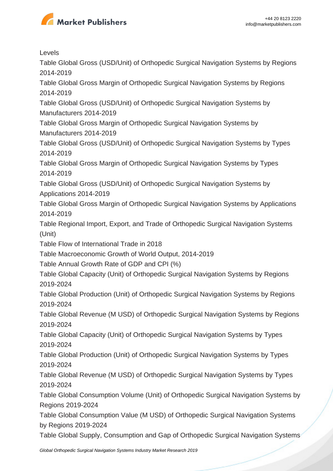

Levels

Table Global Gross (USD/Unit) of Orthopedic Surgical Navigation Systems by Regions 2014-2019

Table Global Gross Margin of Orthopedic Surgical Navigation Systems by Regions 2014-2019

Table Global Gross (USD/Unit) of Orthopedic Surgical Navigation Systems by Manufacturers 2014-2019

Table Global Gross Margin of Orthopedic Surgical Navigation Systems by Manufacturers 2014-2019

Table Global Gross (USD/Unit) of Orthopedic Surgical Navigation Systems by Types 2014-2019

Table Global Gross Margin of Orthopedic Surgical Navigation Systems by Types 2014-2019

Table Global Gross (USD/Unit) of Orthopedic Surgical Navigation Systems by Applications 2014-2019

Table Global Gross Margin of Orthopedic Surgical Navigation Systems by Applications 2014-2019

Table Regional Import, Export, and Trade of Orthopedic Surgical Navigation Systems (Unit)

Table Flow of International Trade in 2018

Table Macroeconomic Growth of World Output, 2014-2019

Table Annual Growth Rate of GDP and CPI (%)

Table Global Capacity (Unit) of Orthopedic Surgical Navigation Systems by Regions 2019-2024

Table Global Production (Unit) of Orthopedic Surgical Navigation Systems by Regions 2019-2024

Table Global Revenue (M USD) of Orthopedic Surgical Navigation Systems by Regions 2019-2024

Table Global Capacity (Unit) of Orthopedic Surgical Navigation Systems by Types 2019-2024

Table Global Production (Unit) of Orthopedic Surgical Navigation Systems by Types 2019-2024

Table Global Revenue (M USD) of Orthopedic Surgical Navigation Systems by Types 2019-2024

Table Global Consumption Volume (Unit) of Orthopedic Surgical Navigation Systems by Regions 2019-2024

Table Global Consumption Value (M USD) of Orthopedic Surgical Navigation Systems by Regions 2019-2024

Table Global Supply, Consumption and Gap of Orthopedic Surgical Navigation Systems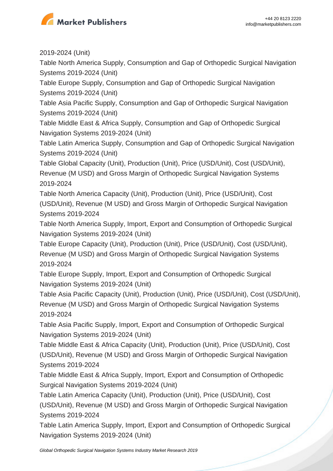

2019-2024 (Unit)

Table North America Supply, Consumption and Gap of Orthopedic Surgical Navigation Systems 2019-2024 (Unit)

Table Europe Supply, Consumption and Gap of Orthopedic Surgical Navigation Systems 2019-2024 (Unit)

Table Asia Pacific Supply, Consumption and Gap of Orthopedic Surgical Navigation Systems 2019-2024 (Unit)

Table Middle East & Africa Supply, Consumption and Gap of Orthopedic Surgical Navigation Systems 2019-2024 (Unit)

Table Latin America Supply, Consumption and Gap of Orthopedic Surgical Navigation Systems 2019-2024 (Unit)

Table Global Capacity (Unit), Production (Unit), Price (USD/Unit), Cost (USD/Unit), Revenue (M USD) and Gross Margin of Orthopedic Surgical Navigation Systems 2019-2024

Table North America Capacity (Unit), Production (Unit), Price (USD/Unit), Cost (USD/Unit), Revenue (M USD) and Gross Margin of Orthopedic Surgical Navigation Systems 2019-2024

Table North America Supply, Import, Export and Consumption of Orthopedic Surgical Navigation Systems 2019-2024 (Unit)

Table Europe Capacity (Unit), Production (Unit), Price (USD/Unit), Cost (USD/Unit), Revenue (M USD) and Gross Margin of Orthopedic Surgical Navigation Systems 2019-2024

Table Europe Supply, Import, Export and Consumption of Orthopedic Surgical Navigation Systems 2019-2024 (Unit)

Table Asia Pacific Capacity (Unit), Production (Unit), Price (USD/Unit), Cost (USD/Unit), Revenue (M USD) and Gross Margin of Orthopedic Surgical Navigation Systems 2019-2024

Table Asia Pacific Supply, Import, Export and Consumption of Orthopedic Surgical Navigation Systems 2019-2024 (Unit)

Table Middle East & Africa Capacity (Unit), Production (Unit), Price (USD/Unit), Cost (USD/Unit), Revenue (M USD) and Gross Margin of Orthopedic Surgical Navigation Systems 2019-2024

Table Middle East & Africa Supply, Import, Export and Consumption of Orthopedic Surgical Navigation Systems 2019-2024 (Unit)

Table Latin America Capacity (Unit), Production (Unit), Price (USD/Unit), Cost (USD/Unit), Revenue (M USD) and Gross Margin of Orthopedic Surgical Navigation Systems 2019-2024

Table Latin America Supply, Import, Export and Consumption of Orthopedic Surgical Navigation Systems 2019-2024 (Unit)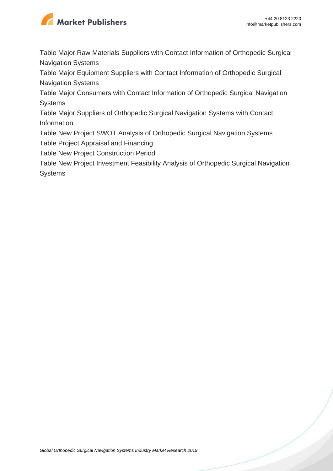

Table Major Raw Materials Suppliers with Contact Information of Orthopedic Surgical Navigation Systems

Table Major Equipment Suppliers with Contact Information of Orthopedic Surgical Navigation Systems

Table Major Consumers with Contact Information of Orthopedic Surgical Navigation Systems

Table Major Suppliers of Orthopedic Surgical Navigation Systems with Contact Information

Table New Project SWOT Analysis of Orthopedic Surgical Navigation Systems

Table Project Appraisal and Financing

Table New Project Construction Period

Table New Project Investment Feasibility Analysis of Orthopedic Surgical Navigation **Systems**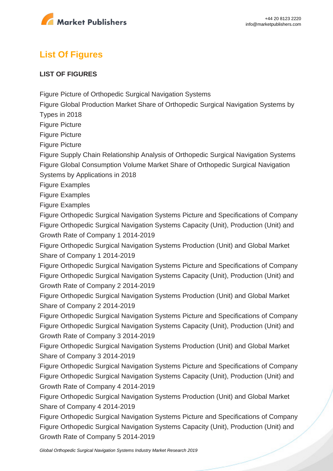

# **List Of Figures**

#### **LIST OF FIGURES**

Figure Picture of Orthopedic Surgical Navigation Systems

Figure Global Production Market Share of Orthopedic Surgical Navigation Systems by

Types in 2018

Figure Picture

Figure Picture

Figure Picture

Figure Supply Chain Relationship Analysis of Orthopedic Surgical Navigation Systems Figure Global Consumption Volume Market Share of Orthopedic Surgical Navigation Systems by Applications in 2018

Figure Examples

Figure Examples

Figure Examples

Figure Orthopedic Surgical Navigation Systems Picture and Specifications of Company Figure Orthopedic Surgical Navigation Systems Capacity (Unit), Production (Unit) and Growth Rate of Company 1 2014-2019

Figure Orthopedic Surgical Navigation Systems Production (Unit) and Global Market Share of Company 1 2014-2019

Figure Orthopedic Surgical Navigation Systems Picture and Specifications of Company Figure Orthopedic Surgical Navigation Systems Capacity (Unit), Production (Unit) and Growth Rate of Company 2 2014-2019

Figure Orthopedic Surgical Navigation Systems Production (Unit) and Global Market Share of Company 2 2014-2019

Figure Orthopedic Surgical Navigation Systems Picture and Specifications of Company Figure Orthopedic Surgical Navigation Systems Capacity (Unit), Production (Unit) and Growth Rate of Company 3 2014-2019

Figure Orthopedic Surgical Navigation Systems Production (Unit) and Global Market Share of Company 3 2014-2019

Figure Orthopedic Surgical Navigation Systems Picture and Specifications of Company Figure Orthopedic Surgical Navigation Systems Capacity (Unit), Production (Unit) and Growth Rate of Company 4 2014-2019

Figure Orthopedic Surgical Navigation Systems Production (Unit) and Global Market Share of Company 4 2014-2019

Figure Orthopedic Surgical Navigation Systems Picture and Specifications of Company Figure Orthopedic Surgical Navigation Systems Capacity (Unit), Production (Unit) and Growth Rate of Company 5 2014-2019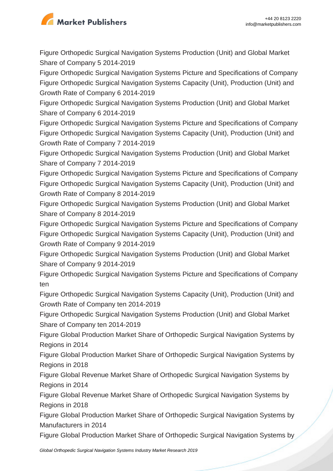

Figure Orthopedic Surgical Navigation Systems Production (Unit) and Global Market Share of Company 5 2014-2019

Figure Orthopedic Surgical Navigation Systems Picture and Specifications of Company Figure Orthopedic Surgical Navigation Systems Capacity (Unit), Production (Unit) and Growth Rate of Company 6 2014-2019

Figure Orthopedic Surgical Navigation Systems Production (Unit) and Global Market Share of Company 6 2014-2019

Figure Orthopedic Surgical Navigation Systems Picture and Specifications of Company Figure Orthopedic Surgical Navigation Systems Capacity (Unit), Production (Unit) and Growth Rate of Company 7 2014-2019

Figure Orthopedic Surgical Navigation Systems Production (Unit) and Global Market Share of Company 7 2014-2019

Figure Orthopedic Surgical Navigation Systems Picture and Specifications of Company Figure Orthopedic Surgical Navigation Systems Capacity (Unit), Production (Unit) and Growth Rate of Company 8 2014-2019

Figure Orthopedic Surgical Navigation Systems Production (Unit) and Global Market Share of Company 8 2014-2019

Figure Orthopedic Surgical Navigation Systems Picture and Specifications of Company Figure Orthopedic Surgical Navigation Systems Capacity (Unit), Production (Unit) and Growth Rate of Company 9 2014-2019

Figure Orthopedic Surgical Navigation Systems Production (Unit) and Global Market Share of Company 9 2014-2019

Figure Orthopedic Surgical Navigation Systems Picture and Specifications of Company ten

Figure Orthopedic Surgical Navigation Systems Capacity (Unit), Production (Unit) and Growth Rate of Company ten 2014-2019

Figure Orthopedic Surgical Navigation Systems Production (Unit) and Global Market Share of Company ten 2014-2019

Figure Global Production Market Share of Orthopedic Surgical Navigation Systems by Regions in 2014

Figure Global Production Market Share of Orthopedic Surgical Navigation Systems by Regions in 2018

Figure Global Revenue Market Share of Orthopedic Surgical Navigation Systems by Regions in 2014

Figure Global Revenue Market Share of Orthopedic Surgical Navigation Systems by Regions in 2018

Figure Global Production Market Share of Orthopedic Surgical Navigation Systems by Manufacturers in 2014

Figure Global Production Market Share of Orthopedic Surgical Navigation Systems by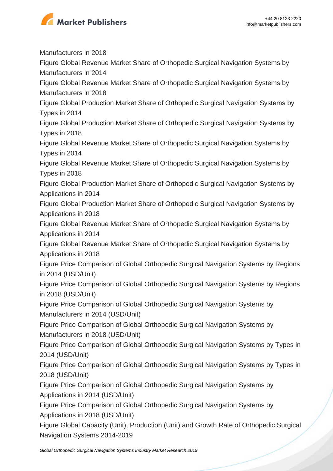

Manufacturers in 2018 Figure Global Revenue Market Share of Orthopedic Surgical Navigation Systems by Manufacturers in 2014 Figure Global Revenue Market Share of Orthopedic Surgical Navigation Systems by Manufacturers in 2018 Figure Global Production Market Share of Orthopedic Surgical Navigation Systems by Types in 2014 Figure Global Production Market Share of Orthopedic Surgical Navigation Systems by Types in 2018 Figure Global Revenue Market Share of Orthopedic Surgical Navigation Systems by Types in 2014 Figure Global Revenue Market Share of Orthopedic Surgical Navigation Systems by Types in 2018 Figure Global Production Market Share of Orthopedic Surgical Navigation Systems by Applications in 2014 Figure Global Production Market Share of Orthopedic Surgical Navigation Systems by Applications in 2018 Figure Global Revenue Market Share of Orthopedic Surgical Navigation Systems by Applications in 2014 Figure Global Revenue Market Share of Orthopedic Surgical Navigation Systems by Applications in 2018 Figure Price Comparison of Global Orthopedic Surgical Navigation Systems by Regions in 2014 (USD/Unit) Figure Price Comparison of Global Orthopedic Surgical Navigation Systems by Regions in 2018 (USD/Unit) Figure Price Comparison of Global Orthopedic Surgical Navigation Systems by Manufacturers in 2014 (USD/Unit) Figure Price Comparison of Global Orthopedic Surgical Navigation Systems by Manufacturers in 2018 (USD/Unit) Figure Price Comparison of Global Orthopedic Surgical Navigation Systems by Types in 2014 (USD/Unit) Figure Price Comparison of Global Orthopedic Surgical Navigation Systems by Types in 2018 (USD/Unit) Figure Price Comparison of Global Orthopedic Surgical Navigation Systems by Applications in 2014 (USD/Unit) Figure Price Comparison of Global Orthopedic Surgical Navigation Systems by Applications in 2018 (USD/Unit) Figure Global Capacity (Unit), Production (Unit) and Growth Rate of Orthopedic Surgical

Navigation Systems 2014-2019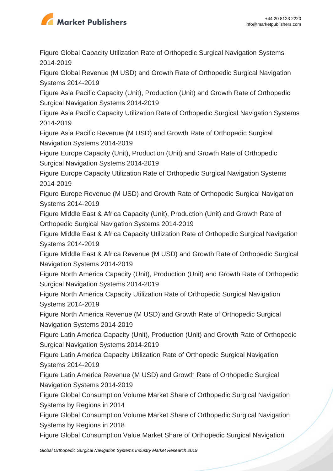

Figure Global Capacity Utilization Rate of Orthopedic Surgical Navigation Systems 2014-2019

Figure Global Revenue (M USD) and Growth Rate of Orthopedic Surgical Navigation Systems 2014-2019

Figure Asia Pacific Capacity (Unit), Production (Unit) and Growth Rate of Orthopedic Surgical Navigation Systems 2014-2019

Figure Asia Pacific Capacity Utilization Rate of Orthopedic Surgical Navigation Systems 2014-2019

Figure Asia Pacific Revenue (M USD) and Growth Rate of Orthopedic Surgical Navigation Systems 2014-2019

Figure Europe Capacity (Unit), Production (Unit) and Growth Rate of Orthopedic Surgical Navigation Systems 2014-2019

Figure Europe Capacity Utilization Rate of Orthopedic Surgical Navigation Systems 2014-2019

Figure Europe Revenue (M USD) and Growth Rate of Orthopedic Surgical Navigation Systems 2014-2019

Figure Middle East & Africa Capacity (Unit), Production (Unit) and Growth Rate of Orthopedic Surgical Navigation Systems 2014-2019

Figure Middle East & Africa Capacity Utilization Rate of Orthopedic Surgical Navigation Systems 2014-2019

Figure Middle East & Africa Revenue (M USD) and Growth Rate of Orthopedic Surgical Navigation Systems 2014-2019

Figure North America Capacity (Unit), Production (Unit) and Growth Rate of Orthopedic Surgical Navigation Systems 2014-2019

Figure North America Capacity Utilization Rate of Orthopedic Surgical Navigation Systems 2014-2019

Figure North America Revenue (M USD) and Growth Rate of Orthopedic Surgical Navigation Systems 2014-2019

Figure Latin America Capacity (Unit), Production (Unit) and Growth Rate of Orthopedic Surgical Navigation Systems 2014-2019

Figure Latin America Capacity Utilization Rate of Orthopedic Surgical Navigation Systems 2014-2019

Figure Latin America Revenue (M USD) and Growth Rate of Orthopedic Surgical Navigation Systems 2014-2019

Figure Global Consumption Volume Market Share of Orthopedic Surgical Navigation Systems by Regions in 2014

Figure Global Consumption Volume Market Share of Orthopedic Surgical Navigation Systems by Regions in 2018

Figure Global Consumption Value Market Share of Orthopedic Surgical Navigation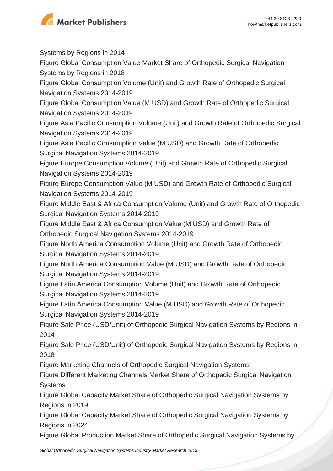

Systems by Regions in 2014 Figure Global Consumption Value Market Share of Orthopedic Surgical Navigation Systems by Regions in 2018 Figure Global Consumption Volume (Unit) and Growth Rate of Orthopedic Surgical Navigation Systems 2014-2019 Figure Global Consumption Value (M USD) and Growth Rate of Orthopedic Surgical Navigation Systems 2014-2019 Figure Asia Pacific Consumption Volume (Unit) and Growth Rate of Orthopedic Surgical Navigation Systems 2014-2019 Figure Asia Pacific Consumption Value (M USD) and Growth Rate of Orthopedic Surgical Navigation Systems 2014-2019 Figure Europe Consumption Volume (Unit) and Growth Rate of Orthopedic Surgical Navigation Systems 2014-2019 Figure Europe Consumption Value (M USD) and Growth Rate of Orthopedic Surgical Navigation Systems 2014-2019 Figure Middle East & Africa Consumption Volume (Unit) and Growth Rate of Orthopedic Surgical Navigation Systems 2014-2019 Figure Middle East & Africa Consumption Value (M USD) and Growth Rate of Orthopedic Surgical Navigation Systems 2014-2019 Figure North America Consumption Volume (Unit) and Growth Rate of Orthopedic Surgical Navigation Systems 2014-2019 Figure North America Consumption Value (M USD) and Growth Rate of Orthopedic Surgical Navigation Systems 2014-2019 Figure Latin America Consumption Volume (Unit) and Growth Rate of Orthopedic Surgical Navigation Systems 2014-2019 Figure Latin America Consumption Value (M USD) and Growth Rate of Orthopedic Surgical Navigation Systems 2014-2019 Figure Sale Price (USD/Unit) of Orthopedic Surgical Navigation Systems by Regions in 2014 Figure Sale Price (USD/Unit) of Orthopedic Surgical Navigation Systems by Regions in 2018 Figure Marketing Channels of Orthopedic Surgical Navigation Systems Figure Different Marketing Channels Market Share of Orthopedic Surgical Navigation **Systems** Figure Global Capacity Market Share of Orthopedic Surgical Navigation Systems by Regions in 2019 Figure Global Capacity Market Share of Orthopedic Surgical Navigation Systems by Regions in 2024 Figure Global Production Market Share of Orthopedic Surgical Navigation Systems by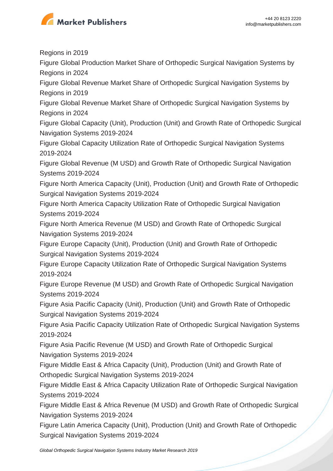

Regions in 2019

Figure Global Production Market Share of Orthopedic Surgical Navigation Systems by Regions in 2024

Figure Global Revenue Market Share of Orthopedic Surgical Navigation Systems by Regions in 2019

Figure Global Revenue Market Share of Orthopedic Surgical Navigation Systems by Regions in 2024

Figure Global Capacity (Unit), Production (Unit) and Growth Rate of Orthopedic Surgical Navigation Systems 2019-2024

Figure Global Capacity Utilization Rate of Orthopedic Surgical Navigation Systems 2019-2024

Figure Global Revenue (M USD) and Growth Rate of Orthopedic Surgical Navigation Systems 2019-2024

Figure North America Capacity (Unit), Production (Unit) and Growth Rate of Orthopedic Surgical Navigation Systems 2019-2024

Figure North America Capacity Utilization Rate of Orthopedic Surgical Navigation Systems 2019-2024

Figure North America Revenue (M USD) and Growth Rate of Orthopedic Surgical Navigation Systems 2019-2024

Figure Europe Capacity (Unit), Production (Unit) and Growth Rate of Orthopedic Surgical Navigation Systems 2019-2024

Figure Europe Capacity Utilization Rate of Orthopedic Surgical Navigation Systems 2019-2024

Figure Europe Revenue (M USD) and Growth Rate of Orthopedic Surgical Navigation Systems 2019-2024

Figure Asia Pacific Capacity (Unit), Production (Unit) and Growth Rate of Orthopedic Surgical Navigation Systems 2019-2024

Figure Asia Pacific Capacity Utilization Rate of Orthopedic Surgical Navigation Systems 2019-2024

Figure Asia Pacific Revenue (M USD) and Growth Rate of Orthopedic Surgical Navigation Systems 2019-2024

Figure Middle East & Africa Capacity (Unit), Production (Unit) and Growth Rate of Orthopedic Surgical Navigation Systems 2019-2024

Figure Middle East & Africa Capacity Utilization Rate of Orthopedic Surgical Navigation Systems 2019-2024

Figure Middle East & Africa Revenue (M USD) and Growth Rate of Orthopedic Surgical Navigation Systems 2019-2024

Figure Latin America Capacity (Unit), Production (Unit) and Growth Rate of Orthopedic Surgical Navigation Systems 2019-2024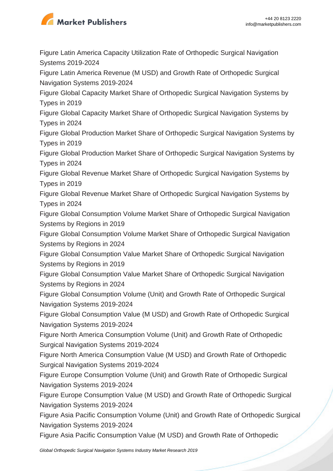

Figure Latin America Capacity Utilization Rate of Orthopedic Surgical Navigation Systems 2019-2024

Figure Latin America Revenue (M USD) and Growth Rate of Orthopedic Surgical Navigation Systems 2019-2024

Figure Global Capacity Market Share of Orthopedic Surgical Navigation Systems by Types in 2019

Figure Global Capacity Market Share of Orthopedic Surgical Navigation Systems by Types in 2024

Figure Global Production Market Share of Orthopedic Surgical Navigation Systems by Types in 2019

Figure Global Production Market Share of Orthopedic Surgical Navigation Systems by Types in 2024

Figure Global Revenue Market Share of Orthopedic Surgical Navigation Systems by Types in 2019

Figure Global Revenue Market Share of Orthopedic Surgical Navigation Systems by Types in 2024

Figure Global Consumption Volume Market Share of Orthopedic Surgical Navigation Systems by Regions in 2019

Figure Global Consumption Volume Market Share of Orthopedic Surgical Navigation Systems by Regions in 2024

Figure Global Consumption Value Market Share of Orthopedic Surgical Navigation Systems by Regions in 2019

Figure Global Consumption Value Market Share of Orthopedic Surgical Navigation Systems by Regions in 2024

Figure Global Consumption Volume (Unit) and Growth Rate of Orthopedic Surgical Navigation Systems 2019-2024

Figure Global Consumption Value (M USD) and Growth Rate of Orthopedic Surgical Navigation Systems 2019-2024

Figure North America Consumption Volume (Unit) and Growth Rate of Orthopedic Surgical Navigation Systems 2019-2024

Figure North America Consumption Value (M USD) and Growth Rate of Orthopedic Surgical Navigation Systems 2019-2024

Figure Europe Consumption Volume (Unit) and Growth Rate of Orthopedic Surgical Navigation Systems 2019-2024

Figure Europe Consumption Value (M USD) and Growth Rate of Orthopedic Surgical Navigation Systems 2019-2024

Figure Asia Pacific Consumption Volume (Unit) and Growth Rate of Orthopedic Surgical Navigation Systems 2019-2024

Figure Asia Pacific Consumption Value (M USD) and Growth Rate of Orthopedic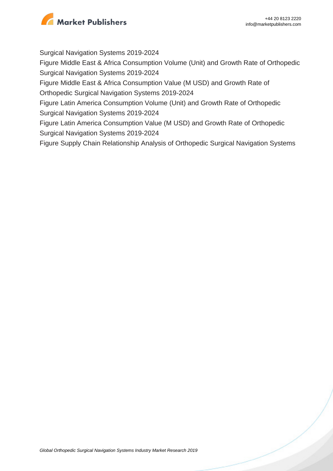

Surgical Navigation Systems 2019-2024

Figure Middle East & Africa Consumption Volume (Unit) and Growth Rate of Orthopedic Surgical Navigation Systems 2019-2024

Figure Middle East & Africa Consumption Value (M USD) and Growth Rate of Orthopedic Surgical Navigation Systems 2019-2024

Figure Latin America Consumption Volume (Unit) and Growth Rate of Orthopedic Surgical Navigation Systems 2019-2024

Figure Latin America Consumption Value (M USD) and Growth Rate of Orthopedic Surgical Navigation Systems 2019-2024

Figure Supply Chain Relationship Analysis of Orthopedic Surgical Navigation Systems